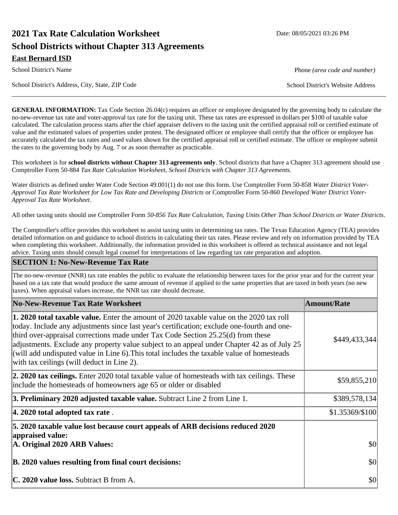# **2021 Tax Rate Calculation Worksheet Date: 08/05/2021 03:26 PM School Districts without Chapter 313 Agreements East Bernard ISD**

School District's Address, City, State, ZIP Code School District's Website Address

**GENERAL INFORMATION:** Tax Code Section 26.04(c) requires an officer or employee designated by the governing body to calculate the no-new-revenue tax rate and voter-approval tax rate for the taxing unit. These tax rates are expressed in dollars per \$100 of taxable value calculated. The calculation process starts after the chief appraiser delivers to the taxing unit the certified appraisal roll or certified estimate of value and the estimated values of properties under protest. The designated officer or employee shall certify that the officer or employee has accurately calculated the tax rates and used values shown for the certified appraisal roll or certified estimate. The officer or employee submit the rates to the governing body by Aug. 7 or as soon thereafter as practicable.

This worksheet is for **school districts without Chapter 313 agreements only**. School districts that have a Chapter 313 agreement should use Comptroller Form 50-884 *Tax Rate Calculation Worksheet, School Districts with Chapter 313 Agreements.*

Water districts as defined under Water Code Section 49.001(1) do not use this form. Use Comptroller Form 50-858 *Water District Voter-Approval Tax Rate Worksheet for Low Tax Rate and Developing Districts* or Comptroller Form 50-860 *Developed Water District Voter-Approval Tax Rate Worksheet*.

All other taxing units should use Comptroller Form *50-856 Tax Rate Calculation, Taxing Units Other Than School Districts or Water Districts*.

The Comptroller's office provides this worksheet to assist taxing units in determining tax rates. The Texas Education Agency (TEA) provides detailed information on and guidance to school districts in calculating their tax rates. Please review and rely on information provided by TEA when completing this worksheet. Additionally, the information provided in this worksheet is offered as technical assistance and not legal advice. Taxing units should consult legal counsel for interpretations of law regarding tax rate preparation and adoption.

#### **SECTION 1: No-New-Revenue Tax Rate**

The no-new-revenue (NNR) tax rate enables the public to evaluate the relationship between taxes for the prior year and for the current year based on a tax rate that would produce the same amount of revenue if applied to the same properties that are taxed in both years (no new taxes). When appraisal values increase, the NNR tax rate should decrease.

| No-New-Revenue Tax Rate Worksheet                                                                                                                                                                                                                                                                                                                                                                                                                                                                                               | <b>Amount/Rate</b> |
|---------------------------------------------------------------------------------------------------------------------------------------------------------------------------------------------------------------------------------------------------------------------------------------------------------------------------------------------------------------------------------------------------------------------------------------------------------------------------------------------------------------------------------|--------------------|
| <b>1. 2020 total taxable value.</b> Enter the amount of 2020 taxable value on the 2020 tax roll<br>today. Include any adjustments since last year's certification; exclude one-fourth and one-<br>third over-appraisal corrections made under Tax Code Section $25.25(d)$ from these<br>adjustments. Exclude any property value subject to an appeal under Chapter 42 as of July 25<br>(will add undisputed value in Line 6). This total includes the taxable value of homesteads<br>with tax ceilings (will deduct in Line 2). | \$449,433,344      |
| <b>2. 2020 tax ceilings.</b> Enter 2020 total taxable value of homesteads with tax ceilings. These<br>include the homesteads of homeowners age 65 or older or disabled                                                                                                                                                                                                                                                                                                                                                          | \$59,855,210       |
| 3. Preliminary 2020 adjusted taxable value. Subtract Line 2 from Line 1.                                                                                                                                                                                                                                                                                                                                                                                                                                                        | \$389,578,134      |
| $ 4.2020$ total adopted tax rate.                                                                                                                                                                                                                                                                                                                                                                                                                                                                                               | \$1.35369/\$100    |
| 5. 2020 taxable value lost because court appeals of ARB decisions reduced 2020<br>appraised value:<br>A. Original 2020 ARB Values:                                                                                                                                                                                                                                                                                                                                                                                              | \$0                |
| B. 2020 values resulting from final court decisions:                                                                                                                                                                                                                                                                                                                                                                                                                                                                            | \$0                |
| <b>C. 2020 value loss.</b> Subtract B from A.                                                                                                                                                                                                                                                                                                                                                                                                                                                                                   | \$0                |

School District's Name **Phone** *(area code and number)* Phone *(area code and number)*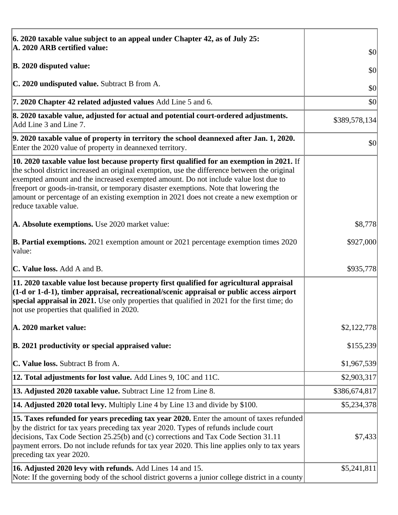| 6. 2020 taxable value subject to an appeal under Chapter 42, as of July 25:                                                                                                                                                                                                                                                                                                                                                                                                                             |               |
|---------------------------------------------------------------------------------------------------------------------------------------------------------------------------------------------------------------------------------------------------------------------------------------------------------------------------------------------------------------------------------------------------------------------------------------------------------------------------------------------------------|---------------|
| A. 2020 ARB certified value:                                                                                                                                                                                                                                                                                                                                                                                                                                                                            | \$0           |
| <b>B. 2020 disputed value:</b>                                                                                                                                                                                                                                                                                                                                                                                                                                                                          | \$0           |
| C. 2020 undisputed value. Subtract B from A.                                                                                                                                                                                                                                                                                                                                                                                                                                                            | \$0           |
| 7. 2020 Chapter 42 related adjusted values Add Line 5 and 6.                                                                                                                                                                                                                                                                                                                                                                                                                                            | \$0           |
| 8. 2020 taxable value, adjusted for actual and potential court-ordered adjustments.<br>Add Line 3 and Line 7.                                                                                                                                                                                                                                                                                                                                                                                           | \$389,578,134 |
| 9. 2020 taxable value of property in territory the school deannexed after Jan. 1, 2020.<br>Enter the 2020 value of property in deannexed territory.                                                                                                                                                                                                                                                                                                                                                     | \$0           |
| $\vert$ 10. 2020 taxable value lost because property first qualified for an exemption in 2021. If<br>the school district increased an original exemption, use the difference between the original<br>exempted amount and the increased exempted amount. Do not include value lost due to<br>freeport or goods-in-transit, or temporary disaster exemptions. Note that lowering the<br>amount or percentage of an existing exemption in 2021 does not create a new exemption or<br>reduce taxable value. |               |
| A. Absolute exemptions. Use 2020 market value:                                                                                                                                                                                                                                                                                                                                                                                                                                                          | \$8,778       |
| <b>B. Partial exemptions.</b> 2021 exemption amount or 2021 percentage exemption times 2020<br> value:                                                                                                                                                                                                                                                                                                                                                                                                  | \$927,000     |
| <b>C. Value loss.</b> Add A and B.                                                                                                                                                                                                                                                                                                                                                                                                                                                                      | \$935,778     |
| 11. 2020 taxable value lost because property first qualified for agricultural appraisal<br>$(1-d \text{ or } 1-d-1)$ , timber appraisal, recreational/scenic appraisal or public access airport<br>special appraisal in 2021. Use only properties that qualified in 2021 for the first time; do<br>not use properties that qualified in 2020.                                                                                                                                                           |               |
| A. 2020 market value:                                                                                                                                                                                                                                                                                                                                                                                                                                                                                   | \$2,122,778   |
| B. 2021 productivity or special appraised value:                                                                                                                                                                                                                                                                                                                                                                                                                                                        | \$155,239     |
| C. Value loss. Subtract B from A.                                                                                                                                                                                                                                                                                                                                                                                                                                                                       | \$1,967,539   |
| <b>12. Total adjustments for lost value.</b> Add Lines 9, 10C and 11C.                                                                                                                                                                                                                                                                                                                                                                                                                                  | \$2,903,317   |
| 13. Adjusted 2020 taxable value. Subtract Line 12 from Line 8.                                                                                                                                                                                                                                                                                                                                                                                                                                          | \$386,674,817 |
| <b>14. Adjusted 2020 total levy.</b> Multiply Line 4 by Line 13 and divide by \$100.                                                                                                                                                                                                                                                                                                                                                                                                                    | \$5,234,378   |
| [15. Taxes refunded for years preceding tax year 2020. Enter the amount of taxes refunded<br>by the district for tax years preceding tax year 2020. Types of refunds include court<br>decisions, Tax Code Section 25.25(b) and (c) corrections and Tax Code Section 31.11<br>payment errors. Do not include refunds for tax year 2020. This line applies only to tax years<br>preceding tax year 2020.                                                                                                  | \$7,433       |
| 16. Adjusted 2020 levy with refunds. Add Lines 14 and 15.<br>Note: If the governing body of the school district governs a junior college district in a county                                                                                                                                                                                                                                                                                                                                           | \$5,241,811   |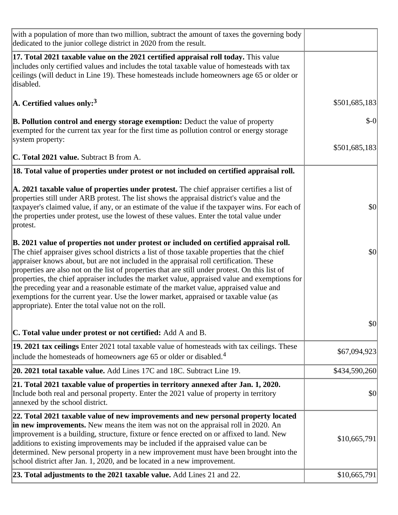| with a population of more than two million, subtract the amount of taxes the governing body<br>dedicated to the junior college district in 2020 from the result.                                                                                                                                                                                                                                                                                                                                                                                                                                                                                                                                                               |               |
|--------------------------------------------------------------------------------------------------------------------------------------------------------------------------------------------------------------------------------------------------------------------------------------------------------------------------------------------------------------------------------------------------------------------------------------------------------------------------------------------------------------------------------------------------------------------------------------------------------------------------------------------------------------------------------------------------------------------------------|---------------|
| 17. Total 2021 taxable value on the 2021 certified appraisal roll today. This value<br>includes only certified values and includes the total taxable value of homesteads with tax<br>ceilings (will deduct in Line 19). These homesteads include homeowners age 65 or older or<br>disabled.                                                                                                                                                                                                                                                                                                                                                                                                                                    |               |
| A. Certified values only: <sup>3</sup>                                                                                                                                                                                                                                                                                                                                                                                                                                                                                                                                                                                                                                                                                         | \$501,685,183 |
| <b>B. Pollution control and energy storage exemption:</b> Deduct the value of property<br>exempted for the current tax year for the first time as pollution control or energy storage<br>system property:                                                                                                                                                                                                                                                                                                                                                                                                                                                                                                                      | $$-0$         |
| <b>C. Total 2021 value.</b> Subtract B from A.                                                                                                                                                                                                                                                                                                                                                                                                                                                                                                                                                                                                                                                                                 | \$501,685,183 |
| 18. Total value of properties under protest or not included on certified appraisal roll.                                                                                                                                                                                                                                                                                                                                                                                                                                                                                                                                                                                                                                       |               |
|                                                                                                                                                                                                                                                                                                                                                                                                                                                                                                                                                                                                                                                                                                                                |               |
| $\vert$ A. 2021 taxable value of properties under protest. The chief appraiser certifies a list of<br>properties still under ARB protest. The list shows the appraisal district's value and the<br>taxpayer's claimed value, if any, or an estimate of the value if the taxpayer wins. For each of<br>the properties under protest, use the lowest of these values. Enter the total value under<br>protest.                                                                                                                                                                                                                                                                                                                    | \$0           |
| B. 2021 value of properties not under protest or included on certified appraisal roll.<br>The chief appraiser gives school districts a list of those taxable properties that the chief<br>appraiser knows about, but are not included in the appraisal roll certification. These<br>properties are also not on the list of properties that are still under protest. On this list of<br>properties, the chief appraiser includes the market value, appraised value and exemptions for<br>the preceding year and a reasonable estimate of the market value, appraised value and<br>exemptions for the current year. Use the lower market, appraised or taxable value (as<br>appropriate). Enter the total value not on the roll. | \$0           |
| <b>C. Total value under protest or not certified:</b> Add A and B.                                                                                                                                                                                                                                                                                                                                                                                                                                                                                                                                                                                                                                                             | \$0           |
| 19. 2021 tax ceilings Enter 2021 total taxable value of homesteads with tax ceilings. These<br>include the homesteads of homeowners age 65 or older or disabled. <sup>4</sup>                                                                                                                                                                                                                                                                                                                                                                                                                                                                                                                                                  | \$67,094,923  |
| 20. 2021 total taxable value. Add Lines 17C and 18C. Subtract Line 19.                                                                                                                                                                                                                                                                                                                                                                                                                                                                                                                                                                                                                                                         | \$434,590,260 |
| 21. Total 2021 taxable value of properties in territory annexed after Jan. 1, 2020.<br>Include both real and personal property. Enter the 2021 value of property in territory<br>annexed by the school district.                                                                                                                                                                                                                                                                                                                                                                                                                                                                                                               | \$0           |
| 22. Total 2021 taxable value of new improvements and new personal property located<br>in new improvements. New means the item was not on the appraisal roll in 2020. An<br>improvement is a building, structure, fixture or fence erected on or affixed to land. New<br>additions to existing improvements may be included if the appraised value can be<br>determined. New personal property in a new improvement must have been brought into the<br>school district after Jan. 1, 2020, and be located in a new improvement.                                                                                                                                                                                                 | \$10,665,791  |
| 23. Total adjustments to the 2021 taxable value. Add Lines 21 and 22.                                                                                                                                                                                                                                                                                                                                                                                                                                                                                                                                                                                                                                                          | \$10,665,791  |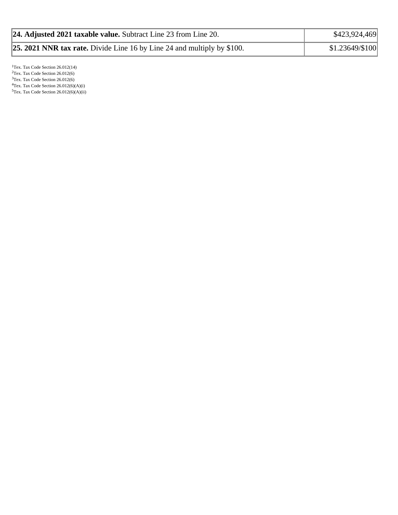| 24. Adjusted 2021 taxable value. Subtract Line 23 from Line 20.                | \$423,924,469   |
|--------------------------------------------------------------------------------|-----------------|
| <b>25. 2021 NNR tax rate.</b> Divide Line 16 by Line 24 and multiply by \$100. | \$1.23649/\$100 |

<sup>1</sup>Tex. Tax Code Section 26.012(14)  $2$ Tex. Tax Code Section 26.012(6) <sup>3</sup>Tex. Tax Code Section 26.012(6)  ${}^{4}$ Tex. Tax Code Section 26.012(6)(A)(i)  $5$ Tex. Tax Code Section 26.012(6)(A)(ii)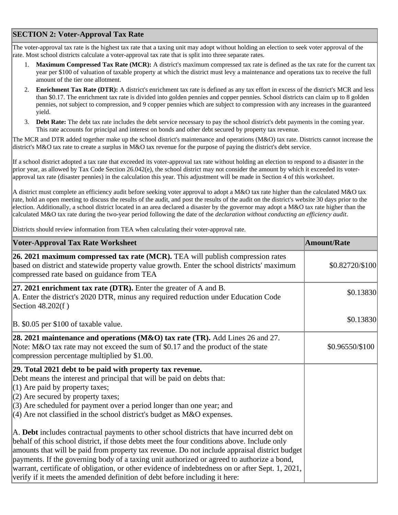## **SECTION 2: Voter-Approval Tax Rate**

The voter-approval tax rate is the highest tax rate that a taxing unit may adopt without holding an election to seek voter approval of the rate. Most school districts calculate a voter-approval tax rate that is split into three separate rates.

- 1. **Maximum Compressed Tax Rate (MCR):** A district's maximum compressed tax rate is defined as the tax rate for the current tax year per \$100 of valuation of taxable property at which the district must levy a maintenance and operations tax to receive the full amount of the tier one allotment.
- 2. **Enrichment Tax Rate (DTR):** A district's enrichment tax rate is defined as any tax effort in excess of the district's MCR and less than \$0.17. The enrichment tax rate is divided into golden pennies and copper pennies. School districts can claim up to 8 golden pennies, not subject to compression, and 9 copper pennies which are subject to compression with any increases in the guaranteed yield.
- 3. **Debt Rate:** The debt tax rate includes the debt service necessary to pay the school district's debt payments in the coming year. This rate accounts for principal and interest on bonds and other debt secured by property tax revenue.

The MCR and DTR added together make up the school district's maintenance and operations (M&O) tax rate. Districts cannot increase the district's M&O tax rate to create a surplus in M&O tax revenue for the purpose of paying the district's debt service.

If a school district adopted a tax rate that exceeded its voter-approval tax rate without holding an election to respond to a disaster in the prior year, as allowed by Tax Code Section 26.042(e), the school district may not consider the amount by which it exceeded its voterapproval tax rate (disaster pennies) in the calculation this year. This adjustment will be made in Section 4 of this worksheet.

A district must complete an efficiency audit before seeking voter approval to adopt a M&O tax rate higher than the calculated M&O tax rate, hold an open meeting to discuss the results of the audit, and post the results of the audit on the district's website 30 days prior to the election. Additionally, a school district located in an area declared a disaster by the governor may adopt a M&O tax rate higher than the calculated M&O tax rate during the two-year period following the date of the *declaration without conducting an efficiency audit*.

Districts should review information from TEA when calculating their voter-approval rate.

| <b>Voter-Approval Tax Rate Worksheet</b>                                                                                                                                                                                                                                                                                                                                                                                                                                                                                                                                    | Amount/Rate     |
|-----------------------------------------------------------------------------------------------------------------------------------------------------------------------------------------------------------------------------------------------------------------------------------------------------------------------------------------------------------------------------------------------------------------------------------------------------------------------------------------------------------------------------------------------------------------------------|-----------------|
| 26. 2021 maximum compressed tax rate (MCR). TEA will publish compression rates<br>based on district and statewide property value growth. Enter the school districts' maximum<br>compressed rate based on guidance from TEA                                                                                                                                                                                                                                                                                                                                                  | \$0.82720/\$100 |
| 27. 2021 enrichment tax rate (DTR). Enter the greater of $A$ and $B$ .<br>A. Enter the district's 2020 DTR, minus any required reduction under Education Code<br>Section 48.202(f)                                                                                                                                                                                                                                                                                                                                                                                          | \$0.13830       |
| B. \$0.05 per \$100 of taxable value.                                                                                                                                                                                                                                                                                                                                                                                                                                                                                                                                       | \$0.13830       |
| 28. 2021 maintenance and operations (M&O) tax rate (TR). Add Lines 26 and 27.<br>Note: M&O tax rate may not exceed the sum of \$0.17 and the product of the state<br>compression percentage multiplied by \$1.00.                                                                                                                                                                                                                                                                                                                                                           | \$0.96550/\$100 |
| 29. Total 2021 debt to be paid with property tax revenue.<br>Debt means the interest and principal that will be paid on debts that:<br>$(1)$ Are paid by property taxes;<br>$(2)$ Are secured by property taxes;<br>$(3)$ Are scheduled for payment over a period longer than one year; and<br>$(4)$ Are not classified in the school district's budget as M&O expenses.                                                                                                                                                                                                    |                 |
| A. Debt includes contractual payments to other school districts that have incurred debt on<br>behalf of this school district, if those debts meet the four conditions above. Include only<br>amounts that will be paid from property tax revenue. Do not include appraisal district budget<br>payments. If the governing body of a taxing unit authorized or agreed to authorize a bond,<br>warrant, certificate of obligation, or other evidence of indebtedness on or after Sept. 1, 2021,<br>verify if it meets the amended definition of debt before including it here: |                 |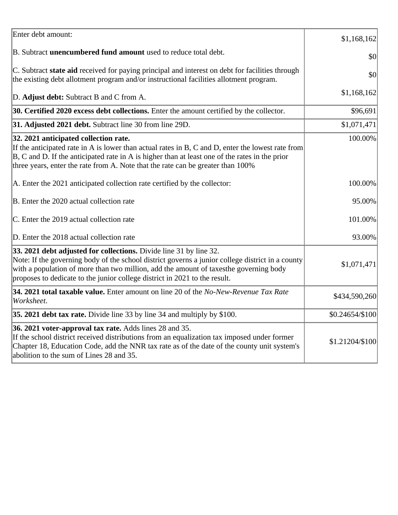| Enter debt amount:                                                                                                                                                                                                                                                                                                                            | \$1,168,162     |
|-----------------------------------------------------------------------------------------------------------------------------------------------------------------------------------------------------------------------------------------------------------------------------------------------------------------------------------------------|-----------------|
| B. Subtract <b>unencumbered fund amount</b> used to reduce total debt.                                                                                                                                                                                                                                                                        | \$0             |
| C. Subtract state aid received for paying principal and interest on debt for facilities through<br>the existing debt allotment program and/or instructional facilities allotment program.                                                                                                                                                     | \$0             |
| D. Adjust debt: Subtract B and C from A.                                                                                                                                                                                                                                                                                                      | \$1,168,162     |
| 30. Certified 2020 excess debt collections. Enter the amount certified by the collector.                                                                                                                                                                                                                                                      | \$96,691        |
| 31. Adjusted 2021 debt. Subtract line 30 from line 29D.                                                                                                                                                                                                                                                                                       | \$1,071,471     |
| 32. 2021 anticipated collection rate.<br>If the anticipated rate in A is lower than actual rates in B, C and D, enter the lowest rate from<br>$ B, C$ and D. If the anticipated rate in A is higher than at least one of the rates in the prior<br>three years, enter the rate from A. Note that the rate can be greater than 100%            | 100.00%         |
| A. Enter the 2021 anticipated collection rate certified by the collector:                                                                                                                                                                                                                                                                     | 100.00%         |
| B. Enter the 2020 actual collection rate                                                                                                                                                                                                                                                                                                      | 95.00%          |
| C. Enter the 2019 actual collection rate                                                                                                                                                                                                                                                                                                      | 101.00%         |
| D. Enter the 2018 actual collection rate                                                                                                                                                                                                                                                                                                      | 93.00%          |
| 33. 2021 debt adjusted for collections. Divide line 31 by line 32.<br>Note: If the governing body of the school district governs a junior college district in a county<br>with a population of more than two million, add the amount of taxesthe governing body<br>proposes to dedicate to the junior college district in 2021 to the result. | \$1,071,471     |
| 34. 2021 total taxable value. Enter amount on line 20 of the No-New-Revenue Tax Rate<br>Worksheet.                                                                                                                                                                                                                                            | \$434,590,260   |
| 35. 2021 debt tax rate. Divide line 33 by line 34 and multiply by \$100.                                                                                                                                                                                                                                                                      | \$0.24654/\$100 |
| 36. 2021 voter-approval tax rate. Adds lines 28 and 35.<br>If the school district received distributions from an equalization tax imposed under former<br>Chapter 18, Education Code, add the NNR tax rate as of the date of the county unit system's<br>abolition to the sum of Lines 28 and 35.                                             | \$1.21204/\$100 |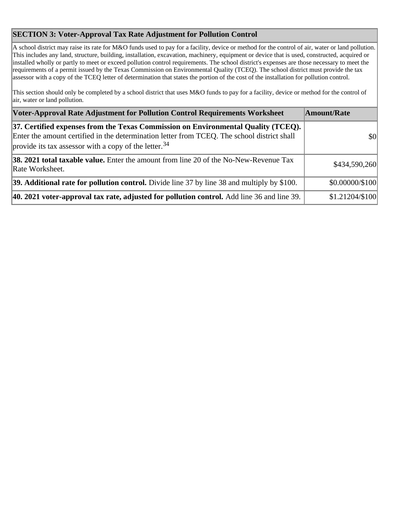## **SECTION 3: Voter-Approval Tax Rate Adjustment for Pollution Control**

A school district may raise its rate for M&O funds used to pay for a facility, device or method for the control of air, water or land pollution. This includes any land, structure, building, installation, excavation, machinery, equipment or device that is used, constructed, acquired or installed wholly or partly to meet or exceed pollution control requirements. The school district's expenses are those necessary to meet the requirements of a permit issued by the Texas Commission on Environmental Quality (TCEQ). The school district must provide the tax assessor with a copy of the TCEQ letter of determination that states the portion of the cost of the installation for pollution control.

This section should only be completed by a school district that uses M&O funds to pay for a facility, device or method for the control of air, water or land pollution.

| Voter-Approval Rate Adjustment for Pollution Control Requirements Worksheet                                                                                                                                                                           | Amount/Rate     |
|-------------------------------------------------------------------------------------------------------------------------------------------------------------------------------------------------------------------------------------------------------|-----------------|
| 37. Certified expenses from the Texas Commission on Environmental Quality (TCEQ).<br>Enter the amount certified in the determination letter from TCEQ. The school district shall<br>provide its tax assessor with a copy of the letter. <sup>34</sup> | \$0             |
| <b>38. 2021 total taxable value.</b> Enter the amount from line 20 of the No-New-Revenue Tax<br>Rate Worksheet.                                                                                                                                       | \$434,590,260   |
| 39. Additional rate for pollution control. Divide line 37 by line 38 and multiply by \$100.                                                                                                                                                           | \$0.00000/\$100 |
| 40. 2021 voter-approval tax rate, adjusted for pollution control. Add line 36 and line 39.                                                                                                                                                            | \$1.21204/\$100 |